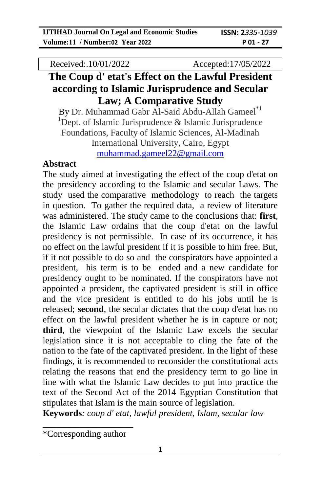Received:.10/01/2022 Accepted:17/05/2022

# **The Coup d' etat's Effect on the Lawful President according to Islamic Jurisprudence and Secular Law; A Comparative Study**

By Dr. Muhammad Gabr Al-Said Abdu-Allah Gameel<sup>\*1</sup> <sup>1</sup>Dept. of Islamic Jurisprudence  $\&$  Islamic Jurisprudence Foundations, Faculty of Islamic Sciences, Al-Madinah International University, Cairo, Egypt [muhammad.gameel22@gmail.com](mailto:muhammad.gameel22@gmail.com)

#### **Abstract**

The study aimed at investigating the effect of the coup d'etat on the presidency according to the Islamic and secular Laws. The study used the comparative methodology to reach the targets in question. To gather the required data, a review of literature was administered. The study came to the conclusions that: **first**, the Islamic Law ordains that the coup d'etat on the lawful presidency is not permissible. In case of its occurrence, it has no effect on the lawful president if it is possible to him free. But, if it not possible to do so and the conspirators have appointed a president, his term is to be ended and a new candidate for presidency ought to be nominated. If the conspirators have not appointed a president, the captivated president is still in office and the vice president is entitled to do his jobs until he is released; **second**, the secular dictates that the coup d'etat has no effect on the lawful president whether he is in capture or not; **third**, the viewpoint of the Islamic Law excels the secular legislation since it is not acceptable to cling the fate of the nation to the fate of the captivated president. In the light of these findings, it is recommended to reconsider the constitutional acts relating the reasons that end the presidency term to go line in line with what the Islamic Law decides to put into practice the text of the Second Act of the 2014 Egyptian Constitution that stipulates that Islam is the main source of legislation.

**Keywords***: coup d' etat, lawful president, Islam, secular law*

**\_\_\_\_\_\_\_\_\_\_\_\_\_\_\_\_\_\_\_\_** \*Corresponding author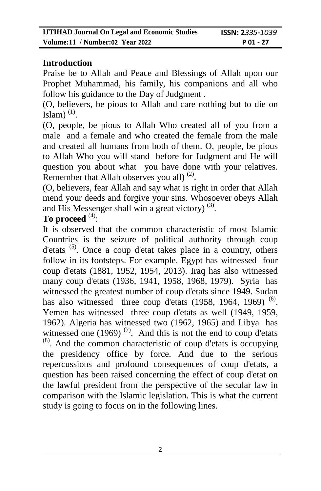### **Introduction**

Praise be to Allah and Peace and Blessings of Allah upon our Prophet Muhammad, his family, his companions and all who follow his guidance to the Day of Judgment .

(O, believers, be pious to Allah and care nothing but to die on Islam $)$ <sup>(1)</sup>.

(O, people, be pious to Allah Who created all of you from a male and a female and who created the female from the male and created all humans from both of them. O, people, be pious to Allah Who you will stand before for Judgment and He will question you about what you have done with your relatives. Remember that Allah observes you all)  $<sup>(2)</sup>$ .</sup>

(O, believers, fear Allah and say what is right in order that Allah mend your deeds and forgive your sins. Whosoever obeys Allah and His Messenger shall win a great victory)  $(3)$ .

### **To proceed** (4) :

It is observed that the common characteristic of most Islamic Countries is the seizure of political authority through coup d'etats (5). Once a coup d'etat takes place in a country, others follow in its footsteps. For example. Egypt has witnessed four coup d'etats (1881, 1952, 1954, 2013). Iraq has also witnessed many coup d'etats (1936, 1941, 1958, 1968, 1979). Syria has witnessed the greatest number of coup d'etats since 1949. Sudan has also witnessed three coup d'etats  $(1958, 1964, 1969)$ <sup>(6)</sup>. Yemen has witnessed three coup d'etats as well (1949, 1959, 1962). Algeria has witnessed two (1962, 1965) and Libya has witnessed one (1969)<sup> $(7)$ </sup>. And this is not the end to coup d'etats  $<sup>(8)</sup>$ . And the common characteristic of coup d'etats is occupying</sup> the presidency office by force. And due to the serious repercussions and profound consequences of coup d'etats, a question has been raised concerning the effect of coup d'etat on the lawful president from the perspective of the secular law in comparison with the Islamic legislation. This is what the current study is going to focus on in the following lines.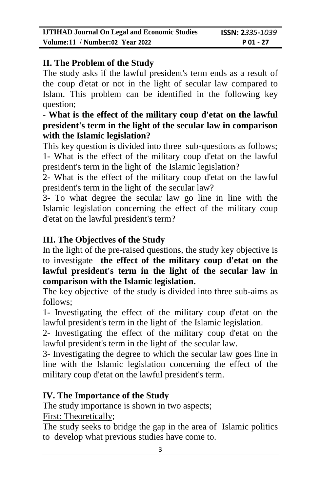### **II. The Problem of the Study**

The study asks if the lawful president's term ends as a result of the coup d'etat or not in the light of secular law compared to Islam. This problem can be identified in the following key question;

### - **What is the effect of the military coup d'etat on the lawful president's term in the light of the secular law in comparison with the Islamic legislation?**

This key question is divided into three sub-questions as follows; 1- What is the effect of the military coup d'etat on the lawful president's term in the light of the Islamic legislation?

2- What is the effect of the military coup d'etat on the lawful president's term in the light of the secular law?

3- To what degree the secular law go line in line with the Islamic legislation concerning the effect of the military coup d'etat on the lawful president's term?

## **III. The Objectives of the Study**

In the light of the pre-raised questions, the study key objective is to investigate **the effect of the military coup d'etat on the lawful president's term in the light of the secular law in comparison with the Islamic legislation.**

The key objective of the study is divided into three sub-aims as follows;

1- Investigating the effect of the military coup d'etat on the lawful president's term in the light of the Islamic legislation.

2- Investigating the effect of the military coup d'etat on the lawful president's term in the light of the secular law.

3- Investigating the degree to which the secular law goes line in line with the Islamic legislation concerning the effect of the military coup d'etat on the lawful president's term.

### **IV. The Importance of the Study**

The study importance is shown in two aspects;

First: Theoretically;

The study seeks to bridge the gap in the area of Islamic politics to develop what previous studies have come to.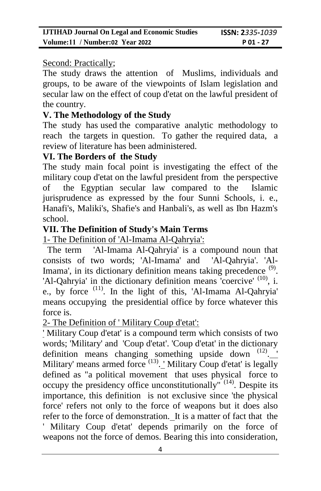#### Second: Practically;

The study draws the attention of Muslims, individuals and groups, to be aware of the viewpoints of Islam legislation and secular law on the effect of coup d'etat on the lawful president of the country.

### **V. The Methodology of the Study**

The study has used the comparative analytic methodology to reach the targets in question. To gather the required data, a review of literature has been administered.

### **VI. The Borders of the Study**

The study main focal point is investigating the effect of the military coup d'etat on the lawful president from the perspective of the Egyptian secular law compared to the Islamic jurisprudence as expressed by the four Sunni Schools, i. e., Hanafi's, Maliki's, Shafie's and Hanbali's, as well as Ibn Hazm's school.

### **VII. The Definition of Study's Main Terms**

1- The Definition of 'Al-Imama Al-Qahryia':

The term 'Al-Imama Al-Qahryia' is a compound noun that consists of two words; 'Al-Imama' and 'Al-Qahryia'. 'Al-Imama', in its dictionary definition means taking precedence <sup>(9)</sup>. 'Al-Qahryia' in the dictionary definition means 'coercive' <sup>(10)</sup>, i. e., by force (11). In the light of this, 'Al-Imama Al-Qahryia' means occupying the presidential office by force whatever this force is.

2- The Definition of ' Military Coup d'etat':

' Military Coup d'etat' is a compound term which consists of two words; 'Military' and 'Coup d'etat'. 'Coup d'etat' in the dictionary definition means changing something upside down  $(12)$ . Military' means armed force <sup>(13)</sup>. ' Military Coup d'etat' is legally defined as "a political movement that uses physical force to occupy the presidency office unconstitutionally" $(14)$ . Despite its importance, this definition is not exclusive since 'the physical force' refers not only to the force of weapons but it does also refer to the force of demonstration. It is a matter of fact that the ' Military Coup d'etat' depends primarily on the force of weapons not the force of demos. Bearing this into consideration,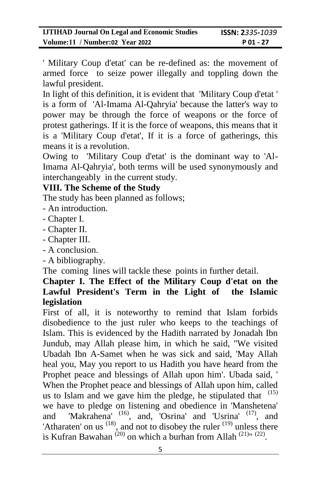' Military Coup d'etat' can be re-defined as: the movement of armed force to seize power illegally and toppling down the lawful president.

In light of this definition, it is evident that 'Military Coup d'etat ' is a form of 'Al-Imama Al-Qahryia' because the latter's way to power may be through the force of weapons or the force of protest gatherings. If it is the force of weapons, this means that it is a 'Military Coup d'etat', If it is a force of gatherings, this means it is a revolution.

Owing to 'Military Coup d'etat' is the dominant way to 'Al-Imama Al-Qahryia', both terms will be used synonymously and interchangeably in the current study.

### **VIII. The Scheme of the Study**

The study has been planned as follows;

- An introduction.
- Chapter I.
- Chapter II.
- Chapter III.
- A conclusion.
- A bibliography.

The coming lines will tackle these points in further detail.

### **Chapter I. The Effect of the Military Coup d'etat on the Lawful President's Term in the Light of the Islamic legislation**

First of all, it is noteworthy to remind that Islam forbids disobedience to the just ruler who keeps to the teachings of Islam. This is evidenced by the Hadith narrated by Jonadah Ibn Jundub, may Allah please him, in which he said, "We visited Ubadah Ibn A-Samet when he was sick and said, 'May Allah heal you, May you report to us Hadith you have heard from the Prophet peace and blessings of Allah upon him'. Ubada said, ' When the Prophet peace and blessings of Allah upon him, called us to Islam and we gave him the pledge, he stipulated that  $(15)$ we have to pledge on listening and obedience in 'Manshetena' and 'Makrahena' (16), and, 'Osrina' and 'Usrina' (17), and 'Atharaten' on us  $(18)$ , and not to disobey the ruler  $(19)$  unless there is Kufran Bawahan<sup>(20)</sup> on which a burhan from Allah<sup>(21)</sup><sup>*n*</sup> (22)</sup>.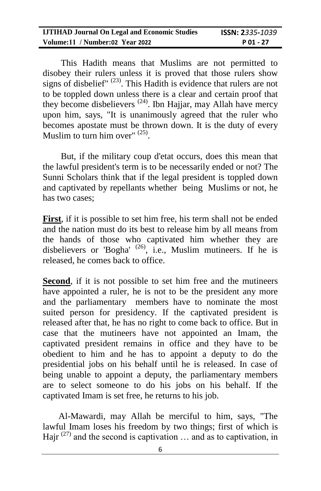| <b>IJTIHAD Journal On Legal and Economic Studies</b> | <b>ISSN: 2</b> 335-1039 |
|------------------------------------------------------|-------------------------|
| Volume:11 / Number:02 Year 2022                      | $P_01 - 27$             |

 This Hadith means that Muslims are not permitted to disobey their rulers unless it is proved that those rulers show signs of disbelief"  $^{(23)}$ . This Hadith is evidence that rulers are not to be toppled down unless there is a clear and certain proof that they become disbelievers (24). Ibn Hajjar, may Allah have mercy upon him, says, "It is unanimously agreed that the ruler who becomes apostate must be thrown down. It is the duty of every Muslim to turn him over"  $^{(25)}$ .

 But, if the military coup d'etat occurs, does this mean that the lawful president's term is to be necessarily ended or not? The Sunni Scholars think that if the legal president is toppled down and captivated by repellants whether being Muslims or not, he has two cases;

**First**, if it is possible to set him free, his term shall not be ended and the nation must do its best to release him by all means from the hands of those who captivated him whether they are disbelievers or 'Bogha'  $^{(26)}$ , i.e., Muslim mutineers. If he is released, he comes back to office.

**Second**, if it is not possible to set him free and the mutineers have appointed a ruler, he is not to be the president any more and the parliamentary members have to nominate the most suited person for presidency. If the captivated president is released after that, he has no right to come back to office. But in case that the mutineers have not appointed an Imam, the captivated president remains in office and they have to be obedient to him and he has to appoint a deputy to do the presidential jobs on his behalf until he is released. In case of being unable to appoint a deputy, the parliamentary members are to select someone to do his jobs on his behalf. If the captivated Imam is set free, he returns to his job.

 Al-Mawardi, may Allah be merciful to him, says, "The lawful Imam loses his freedom by two things; first of which is Hajr  $(27)$  and the second is captivation ... and as to captivation, in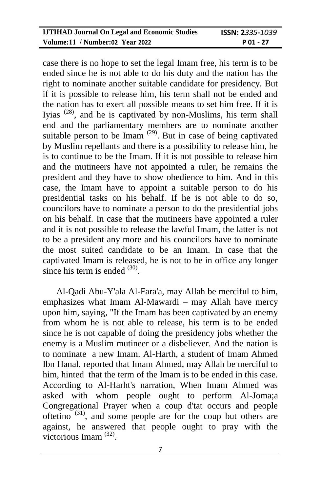| <b>IJTIHAD Journal On Legal and Economic Studies</b> | <b>ISSN: 2</b> 335-1039 |
|------------------------------------------------------|-------------------------|
| Volume:11 / Number:02 Year 2022                      | $P_01 - 27$             |

case there is no hope to set the legal Imam free, his term is to be ended since he is not able to do his duty and the nation has the right to nominate another suitable candidate for presidency. But if it is possible to release him, his term shall not be ended and the nation has to exert all possible means to set him free. If it is Iyias  $(28)$ , and he is captivated by non-Muslims, his term shall end and the parliamentary members are to nominate another suitable person to be Imam  $(29)$ . But in case of being captivated by Muslim repellants and there is a possibility to release him, he is to continue to be the Imam. If it is not possible to release him and the mutineers have not appointed a ruler, he remains the president and they have to show obedience to him. And in this case, the Imam have to appoint a suitable person to do his presidential tasks on his behalf. If he is not able to do so, councilors have to nominate a person to do the presidential jobs on his behalf. In case that the mutineers have appointed a ruler and it is not possible to release the lawful Imam, the latter is not to be a president any more and his councilors have to nominate the most suited candidate to be an Imam. In case that the captivated Imam is released, he is not to be in office any longer since his term is ended  $(30)$ .

 Al-Qadi Abu-Y'ala Al-Fara'a, may Allah be merciful to him, emphasizes what Imam Al-Mawardi – may Allah have mercy upon him, saying, "If the Imam has been captivated by an enemy from whom he is not able to release, his term is to be ended since he is not capable of doing the presidency jobs whether the enemy is a Muslim mutineer or a disbeliever. And the nation is to nominate a new Imam. Al-Harth, a student of Imam Ahmed Ibn Hanal. reported that Imam Ahmed, may Allah be merciful to him, hinted that the term of the Imam is to be ended in this case. According to Al-Harht's narration, When Imam Ahmed was asked with whom people ought to perform Al-Joma;a Congregational Prayer when a coup d'tat occurs and people oftetino  $(31)$ , and some people are for the coup but others are against, he answered that people ought to pray with the victorious Imam<sup>(32)</sup>.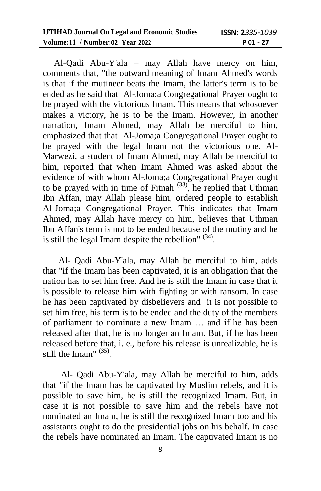| <b>IJTIHAD Journal On Legal and Economic Studies</b> | <b>ISSN: 2</b> 335-1039 |
|------------------------------------------------------|-------------------------|
| Volume:11 / Number:02 Year 2022                      | $P_01 - 27$             |

 Al-Qadi Abu-Y'ala – may Allah have mercy on him, comments that, "the outward meaning of Imam Ahmed's words is that if the mutineer beats the Imam, the latter's term is to be ended as he said that Al-Joma;a Congregational Prayer ought to be prayed with the victorious Imam. This means that whosoever makes a victory, he is to be the Imam. However, in another narration, Imam Ahmed, may Allah be merciful to him, emphasized that that Al-Joma;a Congregational Prayer ought to be prayed with the legal Imam not the victorious one. Al-Marwezi, a student of Imam Ahmed, may Allah be merciful to him, reported that when Imam Ahmed was asked about the evidence of with whom Al-Joma;a Congregational Prayer ought to be prayed with in time of Fitnah  $(33)$ , he replied that Uthman Ibn Affan, may Allah please him, ordered people to establish Al-Joma;a Congregational Prayer. This indicates that Imam Ahmed, may Allah have mercy on him, believes that Uthman Ibn Affan's term is not to be ended because of the mutiny and he is still the legal Imam despite the rebellion"  $(34)$ .

 Al- Qadi Abu-Y'ala, may Allah be merciful to him, adds that "if the Imam has been captivated, it is an obligation that the nation has to set him free. And he is still the Imam in case that it is possible to release him with fighting or with ransom. In case he has been captivated by disbelievers and it is not possible to set him free, his term is to be ended and the duty of the members of parliament to nominate a new Imam … and if he has been released after that, he is no longer an Imam. But, if he has been released before that, i. e., before his release is unrealizable, he is still the Imam"  $(35)$ .

 Al- Qadi Abu-Y'ala, may Allah be merciful to him, adds that "if the Imam has be captivated by Muslim rebels, and it is possible to save him, he is still the recognized Imam. But, in case it is not possible to save him and the rebels have not nominated an Imam, he is still the recognized Imam too and his assistants ought to do the presidential jobs on his behalf. In case the rebels have nominated an Imam. The captivated Imam is no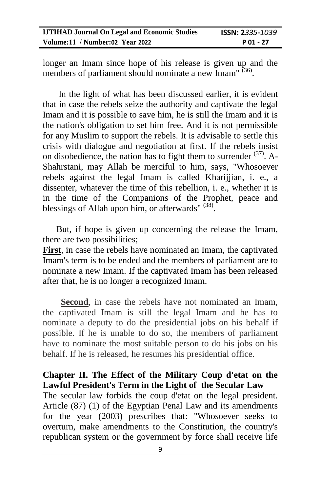| <b>IJTIHAD Journal On Legal and Economic Studies</b> | <b>ISSN: 2</b> 335-1039 |
|------------------------------------------------------|-------------------------|
| Volume:11 / Number:02 Year 2022                      | P 01 - 27               |

longer an Imam since hope of his release is given up and the members of parliament should nominate a new Imam" (36).

 In the light of what has been discussed earlier, it is evident that in case the rebels seize the authority and captivate the legal Imam and it is possible to save him, he is still the Imam and it is the nation's obligation to set him free. And it is not permissible for any Muslim to support the rebels. It is advisable to settle this crisis with dialogue and negotiation at first. If the rebels insist on disobedience, the nation has to fight them to surrender  $(37)$ . A-Shahrstani, may Allah be merciful to him, says, "Whosoever rebels against the legal Imam is called Kharijjian, i. e., a dissenter, whatever the time of this rebellion, i. e., whether it is in the time of the Companions of the Prophet, peace and blessings of Allah upon him, or afterwards"  $(38)$ .

 But, if hope is given up concerning the release the Imam, there are two possibilities;

**First**, in case the rebels have nominated an Imam, the captivated Imam's term is to be ended and the members of parliament are to nominate a new Imam. If the captivated Imam has been released after that, he is no longer a recognized Imam.

 **Second**, in case the rebels have not nominated an Imam, the captivated Imam is still the legal Imam and he has to nominate a deputy to do the presidential jobs on his behalf if possible. If he is unable to do so, the members of parliament have to nominate the most suitable person to do his jobs on his behalf. If he is released, he resumes his presidential office.

#### **Chapter II. The Effect of the Military Coup d'etat on the Lawful President's Term in the Light of the Secular Law**

The secular law forbids the coup d'etat on the legal president. Article (87) (1) of the Egyptian Penal Law and its amendments for the year (2003) prescribes that: "Whosoever seeks to overturn, make amendments to the Constitution, the country's republican system or the government by force shall receive life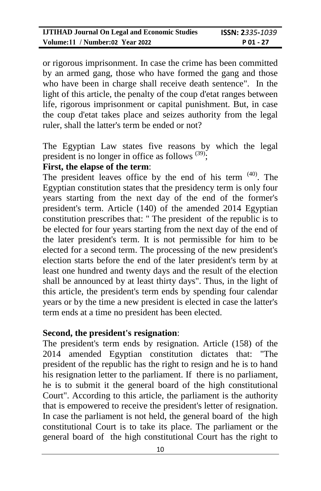or rigorous imprisonment. In case the crime has been committed by an armed gang, those who have formed the gang and those who have been in charge shall receive death sentence". In the light of this article, the penalty of the coup d'etat ranges between life, rigorous imprisonment or capital punishment. But, in case the coup d'etat takes place and seizes authority from the legal ruler, shall the latter's term be ended or not?

The Egyptian Law states five reasons by which the legal president is no longer in office as follows  $(39)$ ;

#### **First, the elapse of the term**:

The president leaves office by the end of his term  $(40)$ . The Egyptian constitution states that the presidency term is only four years starting from the next day of the end of the former's president's term. Article (140) of the amended 2014 Egyptian constitution prescribes that: " The president of the republic is to be elected for four years starting from the next day of the end of the later president's term. It is not permissible for him to be elected for a second term. The processing of the new president's election starts before the end of the later president's term by at least one hundred and twenty days and the result of the election shall be announced by at least thirty days". Thus, in the light of this article, the president's term ends by spending four calendar years or by the time a new president is elected in case the latter's term ends at a time no president has been elected.

#### **Second, the president's resignation**:

The president's term ends by resignation. Article (158) of the 2014 amended Egyptian constitution dictates that: "The president of the republic has the right to resign and he is to hand his resignation letter to the parliament. If there is no parliament, he is to submit it the general board of the high constitutional Court". According to this article, the parliament is the authority that is empowered to receive the president's letter of resignation. In case the parliament is not held, the general board of the high constitutional Court is to take its place. The parliament or the general board of the high constitutional Court has the right to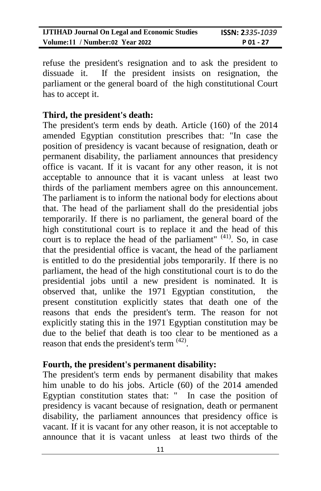| <b>IJTIHAD Journal On Legal and Economic Studies</b> | <b>ISSN: 2</b> 335-1039 |
|------------------------------------------------------|-------------------------|
| Volume:11 / Number:02 Year 2022                      | $P_01 - 27$             |

refuse the president's resignation and to ask the president to dissuade it. If the president insists on resignation, the parliament or the general board of the high constitutional Court has to accept it.

#### **Third, the president's death:**

The president's term ends by death. Article (160) of the 2014 amended Egyptian constitution prescribes that: "In case the position of presidency is vacant because of resignation, death or permanent disability, the parliament announces that presidency office is vacant. If it is vacant for any other reason, it is not acceptable to announce that it is vacant unless at least two thirds of the parliament members agree on this announcement. The parliament is to inform the national body for elections about that. The head of the parliament shall do the presidential jobs temporarily. If there is no parliament, the general board of the high constitutional court is to replace it and the head of this court is to replace the head of the parliament"  $(41)$ . So, in case that the presidential office is vacant, the head of the parliament is entitled to do the presidential jobs temporarily. If there is no parliament, the head of the high constitutional court is to do the presidential jobs until a new president is nominated. It is observed that, unlike the 1971 Egyptian constitution, the present constitution explicitly states that death one of the reasons that ends the president's term. The reason for not explicitly stating this in the 1971 Egyptian constitution may be due to the belief that death is too clear to be mentioned as a reason that ends the president's term  $(42)$ .

#### **Fourth, the president's permanent disability:**

The president's term ends by permanent disability that makes him unable to do his jobs. Article (60) of the 2014 amended Egyptian constitution states that: " In case the position of presidency is vacant because of resignation, death or permanent disability, the parliament announces that presidency office is vacant. If it is vacant for any other reason, it is not acceptable to announce that it is vacant unless at least two thirds of the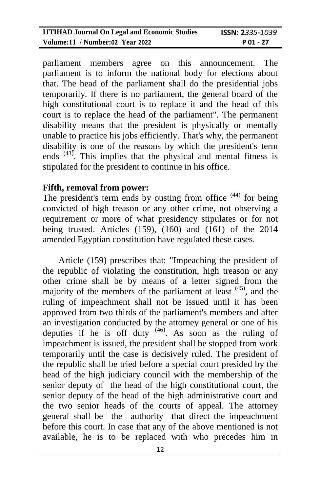| <b>IJTIHAD Journal On Legal and Economic Studies</b> | <b>ISSN: 2</b> 335-1039 |
|------------------------------------------------------|-------------------------|
| Volume:11 / Number:02 Year 2022                      | $P_01 - 27$             |

parliament members agree on this announcement. The parliament is to inform the national body for elections about that. The head of the parliament shall do the presidential jobs temporarily. If there is no parliament, the general board of the high constitutional court is to replace it and the head of this court is to replace the head of the parliament". The permanent disability means that the president is physically or mentally unable to practice his jobs efficiently. That's why, the permanent disability is one of the reasons by which the president's term ends <sup>(43)</sup>. This implies that the physical and mental fitness is stipulated for the president to continue in his office.

#### **Fifth, removal from power:**

The president's term ends by ousting from office  $(44)$  for being convicted of high treason or any other crime, not observing a requirement or more of what presidency stipulates or for not being trusted. Articles (159), (160) and (161) of the 2014 amended Egyptian constitution have regulated these cases.

 Article (159) prescribes that: "Impeaching the president of the republic of violating the constitution, high treason or any other crime shall be by means of a letter signed from the majority of the members of the parliament at least  $(45)$ , and the ruling of impeachment shall not be issued until it has been approved from two thirds of the parliament's members and after an investigation conducted by the attorney general or one of his deputies if he is off duty  $(46)$ . As soon as the ruling of impeachment is issued, the president shall be stopped from work temporarily until the case is decisively ruled. The president of the republic shall be tried before a special court presided by the head of the high judiciary council with the membership of the senior deputy of the head of the high constitutional court, the senior deputy of the head of the high administrative court and the two senior heads of the courts of appeal. The attorney general shall be the authority that direct the impeachment before this court. In case that any of the above mentioned is not available, he is to be replaced with who precedes him in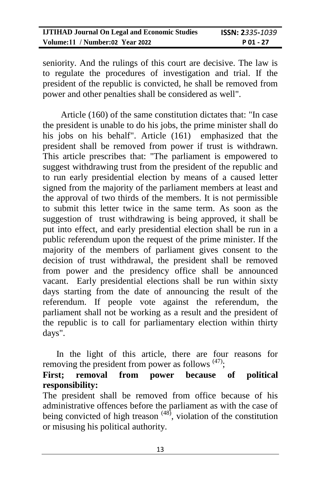| <b>IJTIHAD Journal On Legal and Economic Studies</b> | <b>ISSN: 2</b> 335-1039 |
|------------------------------------------------------|-------------------------|
| Volume:11 / Number:02 Year 2022                      | $P_01 - 27$             |

seniority. And the rulings of this court are decisive. The law is to regulate the procedures of investigation and trial. If the president of the republic is convicted, he shall be removed from power and other penalties shall be considered as well".

 Article (160) of the same constitution dictates that: "In case the president is unable to do his jobs, the prime minister shall do his jobs on his behalf". Article (161) emphasized that the president shall be removed from power if trust is withdrawn. This article prescribes that: "The parliament is empowered to suggest withdrawing trust from the president of the republic and to run early presidential election by means of a caused letter signed from the majority of the parliament members at least and the approval of two thirds of the members. It is not permissible to submit this letter twice in the same term. As soon as the suggestion of trust withdrawing is being approved, it shall be put into effect, and early presidential election shall be run in a public referendum upon the request of the prime minister. If the majority of the members of parliament gives consent to the decision of trust withdrawal, the president shall be removed from power and the presidency office shall be announced vacant. Early presidential elections shall be run within sixty days starting from the date of announcing the result of the referendum. If people vote against the referendum, the parliament shall not be working as a result and the president of the republic is to call for parliamentary election within thirty days".

 In the light of this article, there are four reasons for removing the president from power as follows  $(47)$ ;

#### **First; removal from power because of political responsibility:**

The president shall be removed from office because of his administrative offences before the parliament as with the case of being convicted of high treason  $(48)$ , violation of the constitution or misusing his political authority.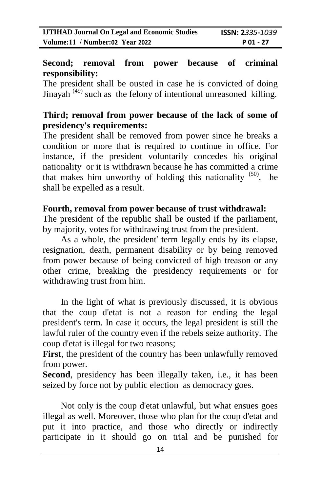#### **Second; removal from power because of criminal responsibility:**

The president shall be ousted in case he is convicted of doing Jinayah  $(49)$  such as the felony of intentional unreasoned killing.

### **Third; removal from power because of the lack of some of presidency's requirements:**

The president shall be removed from power since he breaks a condition or more that is required to continue in office. For instance, if the president voluntarily concedes his original nationality or it is withdrawn because he has committed a crime that makes him unworthy of holding this nationality  $(50)$ , he shall be expelled as a result.

#### **Fourth, removal from power because of trust withdrawal:**

The president of the republic shall be ousted if the parliament, by majority, votes for withdrawing trust from the president.

 As a whole, the president' term legally ends by its elapse, resignation, death, permanent disability or by being removed from power because of being convicted of high treason or any other crime, breaking the presidency requirements or for withdrawing trust from him.

 In the light of what is previously discussed, it is obvious that the coup d'etat is not a reason for ending the legal president's term. In case it occurs, the legal president is still the lawful ruler of the country even if the rebels seize authority. The coup d'etat is illegal for two reasons;

**First**, the president of the country has been unlawfully removed from power.

**Second**, presidency has been illegally taken, i.e., it has been seized by force not by public election as democracy goes.

 Not only is the coup d'etat unlawful, but what ensues goes illegal as well. Moreover, those who plan for the coup d'etat and put it into practice, and those who directly or indirectly participate in it should go on trial and be punished for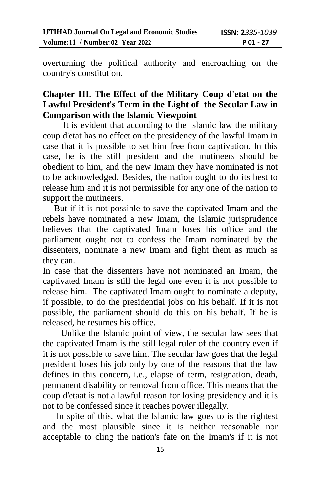overturning the political authority and encroaching on the country's constitution.

### **Chapter III. The Effect of the Military Coup d'etat on the Lawful President's Term in the Light of the Secular Law in Comparison with the Islamic Viewpoint**

It is evident that according to the Islamic law the military coup d'etat has no effect on the presidency of the lawful Imam in case that it is possible to set him free from captivation. In this case, he is the still president and the mutineers should be obedient to him, and the new Imam they have nominated is not to be acknowledged. Besides, the nation ought to do its best to release him and it is not permissible for any one of the nation to support the mutineers.

 But if it is not possible to save the captivated Imam and the rebels have nominated a new Imam, the Islamic jurisprudence believes that the captivated Imam loses his office and the parliament ought not to confess the Imam nominated by the dissenters, nominate a new Imam and fight them as much as they can.

In case that the dissenters have not nominated an Imam, the captivated Imam is still the legal one even it is not possible to release him. The captivated Imam ought to nominate a deputy, if possible, to do the presidential jobs on his behalf. If it is not possible, the parliament should do this on his behalf. If he is released, he resumes his office.

 Unlike the Islamic point of view, the secular law sees that the captivated Imam is the still legal ruler of the country even if it is not possible to save him. The secular law goes that the legal president loses his job only by one of the reasons that the law defines in this concern, i.e., elapse of term, resignation, death, permanent disability or removal from office. This means that the coup d'etaat is not a lawful reason for losing presidency and it is not to be confessed since it reaches power illegally.

 In spite of this, what the Islamic law goes to is the rightest and the most plausible since it is neither reasonable nor acceptable to cling the nation's fate on the Imam's if it is not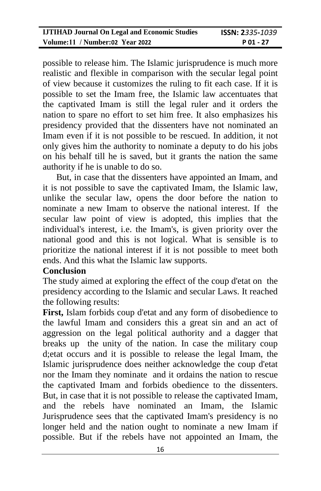possible to release him. The Islamic jurisprudence is much more realistic and flexible in comparison with the secular legal point of view because it customizes the ruling to fit each case. If it is possible to set the Imam free, the Islamic law accentuates that the captivated Imam is still the legal ruler and it orders the nation to spare no effort to set him free. It also emphasizes his presidency provided that the dissenters have not nominated an Imam even if it is not possible to be rescued. In addition, it not only gives him the authority to nominate a deputy to do his jobs on his behalf till he is saved, but it grants the nation the same authority if he is unable to do so.

 But, in case that the dissenters have appointed an Imam, and it is not possible to save the captivated Imam, the Islamic law, unlike the secular law, opens the door before the nation to nominate a new Imam to observe the national interest. If the secular law point of view is adopted, this implies that the individual's interest, i.e. the Imam's, is given priority over the national good and this is not logical. What is sensible is to prioritize the national interest if it is not possible to meet both ends. And this what the Islamic law supports.

#### **Conclusion**

The study aimed at exploring the effect of the coup d'etat on the presidency according to the Islamic and secular Laws. It reached the following results:

**First,** Islam forbids coup d'etat and any form of disobedience to the lawful Imam and considers this a great sin and an act of aggression on the legal political authority and a dagger that breaks up the unity of the nation. In case the military coup d;etat occurs and it is possible to release the legal Imam, the Islamic jurisprudence does neither acknowledge the coup d'etat nor the Imam they nominate and it ordains the nation to rescue the captivated Imam and forbids obedience to the dissenters. But, in case that it is not possible to release the captivated Imam, and the rebels have nominated an Imam, the Islamic Jurisprudence sees that the captivated Imam's presidency is no longer held and the nation ought to nominate a new Imam if possible. But if the rebels have not appointed an Imam, the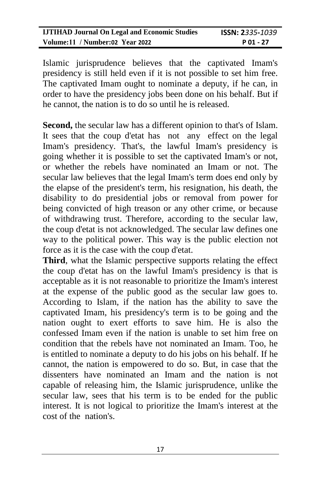Islamic jurisprudence believes that the captivated Imam's presidency is still held even if it is not possible to set him free. The captivated Imam ought to nominate a deputy, if he can, in order to have the presidency jobs been done on his behalf. But if he cannot, the nation is to do so until he is released.

**Second,** the secular law has a different opinion to that's of Islam. It sees that the coup d'etat has not any effect on the legal Imam's presidency. That's, the lawful Imam's presidency is going whether it is possible to set the captivated Imam's or not, or whether the rebels have nominated an Imam or not. The secular law believes that the legal Imam's term does end only by the elapse of the president's term, his resignation, his death, the disability to do presidential jobs or removal from power for being convicted of high treason or any other crime, or because of withdrawing trust. Therefore, according to the secular law, the coup d'etat is not acknowledged. The secular law defines one way to the political power. This way is the public election not force as it is the case with the coup d'etat.

**Third**, what the Islamic perspective supports relating the effect the coup d'etat has on the lawful Imam's presidency is that is acceptable as it is not reasonable to prioritize the Imam's interest at the expense of the public good as the secular law goes to. According to Islam, if the nation has the ability to save the captivated Imam, his presidency's term is to be going and the nation ought to exert efforts to save him. He is also the confessed Imam even if the nation is unable to set him free on condition that the rebels have not nominated an Imam. Too, he is entitled to nominate a deputy to do his jobs on his behalf. If he cannot, the nation is empowered to do so. But, in case that the dissenters have nominated an Imam and the nation is not capable of releasing him, the Islamic jurisprudence, unlike the secular law, sees that his term is to be ended for the public interest. It is not logical to prioritize the Imam's interest at the cost of the nation's.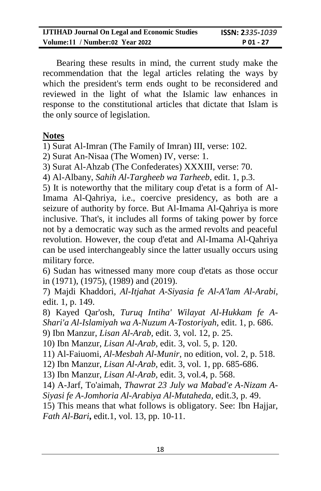Bearing these results in mind, the current study make the recommendation that the legal articles relating the ways by which the president's term ends ought to be reconsidered and reviewed in the light of what the Islamic law enhances in response to the constitutional articles that dictate that Islam is the only source of legislation.

#### **Notes**

1) Surat Al-Imran (The Family of Imran) III, verse: 102.

2) Surat An-Nisaa (The Women) IV, verse: 1.

3) Surat Al-Ahzab (The Confederates) XXXIII, verse: 70.

4) Al-Albany, *Sahih Al-Targheeb wa Tarheeb*, edit. 1, p.3.

5) It is noteworthy that the military coup d'etat is a form of Al-Imama Al-Qahriya, i.e., coercive presidency, as both are a seizure of authority by force. But Al-Imama Al-Qahriya is more inclusive. That's, it includes all forms of taking power by force not by a democratic way such as the armed revolts and peaceful revolution. However, the coup d'etat and Al-Imama Al-Qahriya can be used interchangeably since the latter usually occurs using military force.

6) Sudan has witnessed many more coup d'etats as those occur in (1971), (1975), (1989) and (2019).

7) Majdi Khaddori, *Al-Itjahat A-Siyasia fe Al-A'lam Al-Arabi,*  edit. 1, p. 149.

8) Kayed Qar'osh, *Turuq Intiha' Wilayat Al-Hukkam fe A-Shari'a Al-Islamiyah wa A-Nuzum A-Tostoriyah*, edit. 1, p. 686.

9) Ibn Manzur, *Lisan Al-Arab,* edit. 3, vol. 12, p. 25.

10) Ibn Manzur, *Lisan Al-Arab,* edit. 3, vol. 5, p. 120.

11) Al-Faiuomi, *Al-Mesbah Al-Munir,* no edition, vol. 2, p. 518.

12) Ibn Manzur, *Lisan Al-Arab,* edit. 3, vol. 1, pp. 685-686.

13) Ibn Manzur, *Lisan Al-Arab,* edit. 3, vol.4, p. 568.

14) A-Jarf, To'aimah, *Thawrat 23 July wa Mabad'e A-Nizam A-Siyasi fe A-Jomhoria Al-Arabiya Al-Mutaheda,* edit.3, p. 49.

15) This means that what follows is obligatory. See: Ibn Hajjar, *Fath Al-Bari***,** edit.1, vol. 13, pp. 10-11.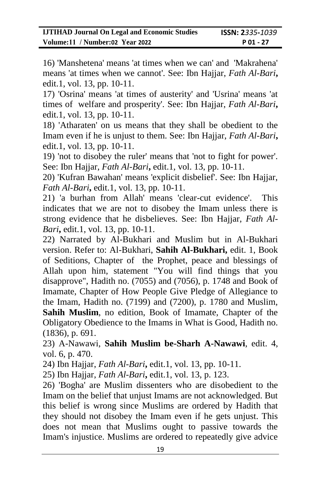16) 'Manshetena' means 'at times when we can' and 'Makrahena' means 'at times when we cannot'. See: Ibn Hajjar, *Fath Al-Bari***,** edit.1, vol. 13, pp. 10-11.

17) 'Osrina' means 'at times of austerity' and 'Usrina' means 'at times of welfare and prosperity'. See: Ibn Hajjar, *Fath Al-Bari***,** edit.1, vol. 13, pp. 10-11.

18) 'Atharaten' on us means that they shall be obedient to the Imam even if he is unjust to them. See: Ibn Hajjar, *Fath Al-Bari***,** edit.1, vol. 13, pp. 10-11.

19) 'not to disobey the ruler' means that 'not to fight for power'. See: Ibn Hajjar, *Fath Al-Bari***,** edit.1, vol. 13, pp. 10-11.

20) 'Kufran Bawahan' means 'explicit disbelief'. See: Ibn Hajjar, *Fath Al-Bari***,** edit.1, vol. 13, pp. 10-11.

21) 'a burhan from Allah' means 'clear-cut evidence'. This indicates that we are not to disobey the Imam unless there is strong evidence that he disbelieves. See: Ibn Hajjar, *Fath Al-Bari***,** edit.1, vol. 13, pp. 10-11.

22) Narrated by Al-Bukhari and Muslim but in Al-Bukhari version. Refer to: Al-Bukhari, **Sahih Al-Bukhari,** edit. 1, Book of Seditions, Chapter of the Prophet, peace and blessings of Allah upon him, statement "You will find things that you disapprove", Hadith no. (7055) and (7056), p. 1748 and Book of Imamate, Chapter of How People Give Pledge of Allegiance to the Imam, Hadith no. (7199) and (7200), p. 1780 and Muslim, **Sahih Muslim**, no edition, Book of Imamate, Chapter of the Obligatory Obedience to the Imams in What is Good, Hadith no. (1836), p. 691.

23) A-Nawawi, **Sahih Muslim be-Sharh A-Nawawi**, edit. 4, vol. 6, p. 470.

24) Ibn Hajjar, *Fath Al-Bari***,** edit.1, vol. 13, pp. 10-11.

25) Ibn Hajjar, *Fath Al-Bari***,** edit.1, vol. 13, p. 123.

26) 'Bogha' are Muslim dissenters who are disobedient to the Imam on the belief that unjust Imams are not acknowledged. But this belief is wrong since Muslims are ordered by Hadith that they should not disobey the Imam even if he gets unjust. This does not mean that Muslims ought to passive towards the Imam's injustice. Muslims are ordered to repeatedly give advice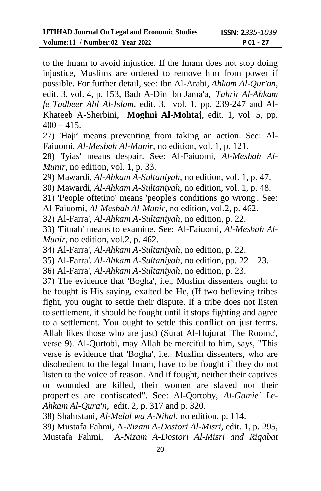to the Imam to avoid injustice. If the Imam does not stop doing injustice, Muslims are ordered to remove him from power if possible. For further detail, see: Ibn Al-Arabi, *Ahkam Al-Qur'an*, edit. 3, vol. 4, p. 153, Badr A-Din Ibn Jama'a, *Tahrir Al-Ahkam fe Tadbeer Ahl Al-Islam*, edit. 3, vol. 1, pp. 239-247 and Al-Khateeb A-Sherbini, **Moghni Al-Mohtaj**, edit. 1, vol. 5, pp.  $400 - 415$ .

27) 'Hajr' means preventing from taking an action. See: Al-Faiuomi, *Al-Mesbah Al-Munir,* no edition, vol. 1, p. 121.

28) 'Iyias' means despair. See: Al-Faiuomi, *Al-Mesbah Al-Munir,* no edition, vol. 1, p. 33.

29) Mawardi, *Al-Ahkam A-Sultaniyah*, no edition, vol. 1, p. 47.

30) Mawardi, *Al-Ahkam A-Sultaniyah*, no edition, vol. 1, p. 48.

31) 'People oftetino' means 'people's conditions go wrong'. See: Al-Faiuomi, *Al-Mesbah Al-Munir,* no edition, vol.2, p. 462.

32) Al-Farra', *Al-Ahkam A-Sultaniyah*, no edition, p. 22.

33) 'Fitnah' means to examine. See: Al-Faiuomi, *Al-Mesbah Al-Munir,* no edition, vol.2, p. 462.

34) Al-Farra', *Al-Ahkam A-Sultaniyah*, no edition, p. 22.

35) Al-Farra', *Al-Ahkam A-Sultaniyah*, no edition, pp. 22 – 23.

36) Al-Farra', *Al-Ahkam A-Sultaniyah*, no edition, p. 23.

37) The evidence that 'Bogha', i.e., Muslim dissenters ought to be fought is His saying, exalted be He, (If two believing tribes fight, you ought to settle their dispute. If a tribe does not listen to settlement, it should be fought until it stops fighting and agree to a settlement. You ought to settle this conflict on just terms. Allah likes those who are just) (Surat Al-Hujurat 'The Roomc', verse 9). Al-Qurtobi, may Allah be merciful to him, says, "This verse is evidence that 'Bogha', i.e., Muslim dissenters, who are disobedient to the legal Imam, have to be fought if they do not listen to the voice of reason. And if fought, neither their captives or wounded are killed, their women are slaved nor their properties are confiscated". See: Al-Qortoby, *Al-Gamie' Le-Ahkam Al-Qura'n*, edit. 2, p. 317 and p. 320.

38) Shahrstani, *Al-Melal wa A-Nihal*, no edition, p. 114.

39) Mustafa Fahmi, A*-Nizam A-Dostori Al-Misri,* edit. 1, p. 295, Mustafa Fahmi, A*-Nizam A-Dostori Al-Misri and Riqabat*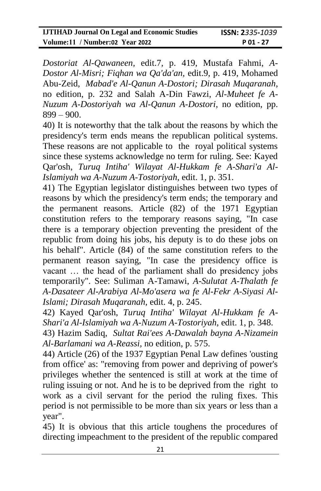*Dostoriat Al-Qawaneen,* edit.7, p. 419, Mustafa Fahmi, *A-Dostor Al-Misri; Fiqhan wa Qa'da'an,* edit.9, p. 419, Mohamed Abu-Zeid, *Mabad'e Al-Qanun A-Dostori; Dirasah Muqaranah*, no edition, p. 232 and Salah A-Din Fawzi, *Al-Muheet fe A-Nuzum A-Dostoriyah wa Al-Qanun A-Dostori*, no edition, pp. 899 – 900.

40) It is noteworthy that the talk about the reasons by which the presidency's term ends means the republican political systems. These reasons are not applicable to the royal political systems since these systems acknowledge no term for ruling. See: Kayed Qar'osh, *Turuq Intiha' Wilayat Al-Hukkam fe A-Shari'a Al-Islamiyah wa A-Nuzum A-Tostoriyah*, edit. 1, p. 351.

41) The Egyptian legislator distinguishes between two types of reasons by which the presidency's term ends; the temporary and the permanent reasons. Article (82) of the 1971 Egyptian constitution refers to the temporary reasons saying, "In case there is a temporary objection preventing the president of the republic from doing his jobs, his deputy is to do these jobs on his behalf". Article (84) of the same constitution refers to the permanent reason saying, "In case the presidency office is vacant … the head of the parliament shall do presidency jobs temporarily". See: Suliman A-Tamawi, *A-Sulutat A-Thalath fe A-Dasateer Al-Arabiya Al-Mo'asera wa fe Al-Fekr A-Siyasi Al-Islami; Dirasah Muqaranah*, edit. 4, p. 245.

42) Kayed Qar'osh, *Turuq Intiha' Wilayat Al-Hukkam fe A-Shari'a Al-Islamiyah wa A-Nuzum A-Tostoriyah*, edit. 1, p. 348.

43) Hazim Sadiq, *Sultat Rai'ees A-Dawalah bayna A-Nizamein Al-Barlamani wa A-Reassi,* no edition, p. 575.

44) Article (26) of the 1937 Egyptian Penal Law defines 'ousting from office' as: "removing from power and depriving of power's privileges whether the sentenced is still at work at the time of ruling issuing or not. And he is to be deprived from the right to work as a civil servant for the period the ruling fixes. This period is not permissible to be more than six years or less than a year".

45) It is obvious that this article toughens the procedures of directing impeachment to the president of the republic compared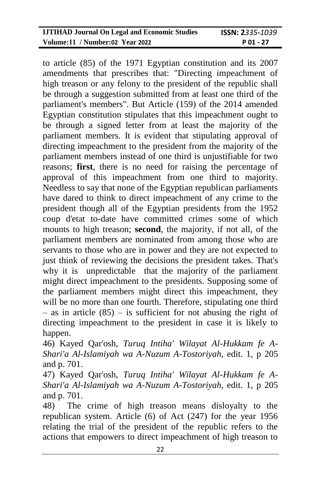| <b>IJTIHAD Journal On Legal and Economic Studies</b> | <b>ISSN: 2</b> 335-1039 |
|------------------------------------------------------|-------------------------|
| Volume:11 / Number:02 Year 2022                      | P 01 - 27               |

to article (85) of the 1971 Egyptian constitution and its 2007 amendments that prescribes that: "Directing impeachment of high treason or any felony to the president of the republic shall be through a suggestion submitted from at least one third of the parliament's members". But Article (159) of the 2014 amended Egyptian constitution stipulates that this impeachment ought to be through a signed letter from at least the majority of the parliament members. It is evident that stipulating approval of directing impeachment to the president from the majority of the parliament members instead of one third is unjustifiable for two reasons; **first**, there is no need for raising the percentage of approval of this impeachment from one third to majority. Needless to say that none of the Egyptian republican parliaments have dared to think to direct impeachment of any crime to the president though all of the Egyptian presidents from the 1952 coup d'etat to-date have committed crimes some of which mounts to high treason; **second**, the majority, if not all, of the parliament members are nominated from among those who are servants to those who are in power and they are not expected to just think of reviewing the decisions the president takes. That's why it is unpredictable that the majority of the parliament might direct impeachment to the presidents. Supposing some of the parliament members might direct this impeachment, they will be no more than one fourth. Therefore, stipulating one third – as in article  $(85)$  – is sufficient for not abusing the right of directing impeachment to the president in case it is likely to happen.

46) Kayed Qar'osh, *Turuq Intiha' Wilayat Al-Hukkam fe A-Shari'a Al-Islamiyah wa A-Nuzum A-Tostoriyah*, edit. 1, p 205 and p. 701.

47) Kayed Qar'osh, *Turuq Intiha' Wilayat Al-Hukkam fe A-Shari'a Al-Islamiyah wa A-Nuzum A-Tostoriyah*, edit. 1, p 205 and p. 701.

48) The crime of high treason means disloyalty to the republican system. Article (6) of Act (247) for the year 1956 relating the trial of the president of the republic refers to the actions that empowers to direct impeachment of high treason to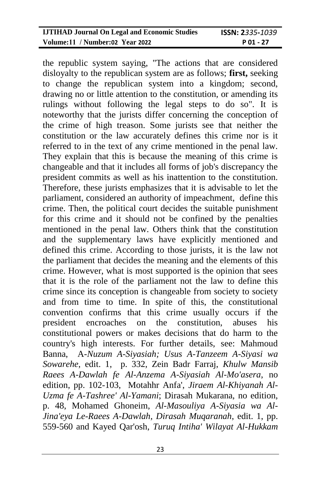| <b>IJTIHAD Journal On Legal and Economic Studies</b> | <b>ISSN: 2</b> 335-1039 |
|------------------------------------------------------|-------------------------|
| Volume:11 / Number:02 Year 2022                      | $P_01 - 27$             |

the republic system saying, "The actions that are considered disloyalty to the republican system are as follows; **first,** seeking to change the republican system into a kingdom; second, drawing no or little attention to the constitution, or amending its rulings without following the legal steps to do so". It is noteworthy that the jurists differ concerning the conception of the crime of high treason. Some jurists see that neither the constitution or the law accurately defines this crime nor is it referred to in the text of any crime mentioned in the penal law. They explain that this is because the meaning of this crime is changeable and that it includes all forms of job's discrepancy the president commits as well as his inattention to the constitution. Therefore, these jurists emphasizes that it is advisable to let the parliament, considered an authority of impeachment, define this crime. Then, the political court decides the suitable punishment for this crime and it should not be confined by the penalties mentioned in the penal law. Others think that the constitution and the supplementary laws have explicitly mentioned and defined this crime. According to those jurists, it is the law not the parliament that decides the meaning and the elements of this crime. However, what is most supported is the opinion that sees that it is the role of the parliament not the law to define this crime since its conception is changeable from society to society and from time to time. In spite of this, the constitutional convention confirms that this crime usually occurs if the president encroaches on the constitution, abuses his constitutional powers or makes decisions that do harm to the country's high interests. For further details, see: Mahmoud Banna, A*-Nuzum A-Siyasiah; Usus A-Tanzeem A-Siyasi wa Sowarehe*, edit. 1, p. 332, Zein Badr Farraj, *Khulw Mansib Raees A-Dawlah fe Al-Anzema A-Siyasiah Al-Mo'asera*, no edition, pp. 102-103, Motahhr Anfa', *Jiraem Al-Khiyanah Al-Uzma fe A-Tashree' Al-Yamani*; Dirasah Mukarana, no edition, p. 48, Mohamed Ghoneim, *Al-Masouliya A-Siyasia wa Al-Jina'eya Le-Raees A-Dawlah, Dirasah Muqaranah*, edit. 1, pp. 559-560 and Kayed Qar'osh, *Turuq Intiha' Wilayat Al-Hukkam*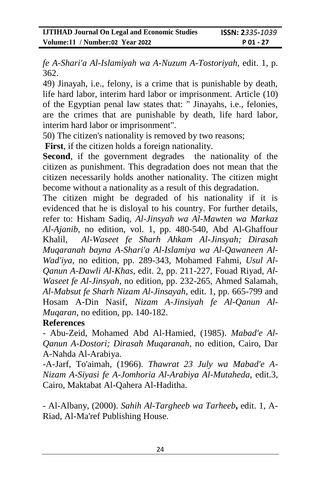*fe A-Shari'a Al-Islamiyah wa A-Nuzum A-Tostoriyah*, edit. 1, p. 362.

49) Jinayah, i.e., felony, is a crime that is punishable by death, life hard labor, interim hard labor or imprisonment. Article (10) of the Egyptian penal law states that: " Jinayahs, i.e., felonies, are the crimes that are punishable by death, life hard labor, interim hard labor or imprisonment".

50) The citizen's nationality is removed by two reasons;

**First**, if the citizen holds a foreign nationality.

**Second**, if the government degrades the nationality of the citizen as punishment. This degradation does not mean that the citizen necessarily holds another nationality. The citizen might become without a nationality as a result of this degradation.

The citizen might be degraded of his nationality if it is evidenced that he is disloyal to his country. For further details, refer to: Hisham Sadiq, *Al-Jinsyah wa Al-Mawten wa Markaz Al-Ajanib,* no edition, vol. 1, pp. 480-540, Abd Al-Ghaffour Khalil, *Al-Waseet fe Sharh Ahkam Al-Jinsyah; Dirasah Muqaranah bayna A-Shari'a Al-Islamiya wa Al-Qawaneen Al-Wad'iya*, no edition, pp. 289-343, Mohamed Fahmi, *Usul Al-Qanun A-Dawli Al-Khas*, edit. 2, pp. 211-227, Fouad Riyad, *Al-Waseet fe Al-Jinsyah,* no edition, pp. 232-265, Ahmed Salamah, *Al-Mabsut fe Sharh Nizam Al-Jinsayah*, edit. 1, pp. 665-799 and Hosam A-Din Nasif, *Nizam A-Jinsiyah fe Al-Qanun Al-Muqaran,* no edition, pp. 140-182.

## **References**

- Abu-Zeid, Mohamed Abd Al-Hamied, (1985). *Mabad'e Al-Qanun A-Dostori; Dirasah Muqaranah*, no edition, Cairo, Dar A-Nahda Al-Arabiya.

-A-Jarf, To'aimah, (1966). *Thawrat 23 July wa Mabad'e A-Nizam A-Siyasi fe A-Jomhoria Al-Arabiya Al-Mutaheda,* edit.3, Cairo, Maktabat Al-Qahera Al-Haditha.

- Al-Albany, (2000). *Sahih Al-Targheeb wa Tarheeb***,** edit. 1, A-Riad, Al-Ma'ref Publishing House.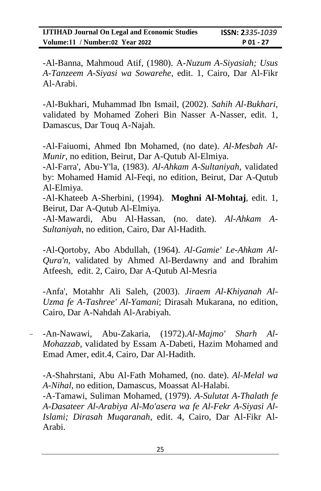-Al-Banna, Mahmoud Atif, (1980). A*-Nuzum A-Siyasiah; Usus A-Tanzeem A-Siyasi wa Sowarehe*, edit. 1, Cairo, Dar Al-Fikr Al-Arabi.

-Al-Bukhari, Muhammad Ibn Ismail, (2002). *Sahih Al-Bukhari,*  validated by Mohamed Zoheri Bin Nasser A-Nasser, edit. 1, Damascus, Dar Touq A-Najah.

-Al-Faiuomi, Ahmed Ibn Mohamed, (no date). *Al-Mesbah Al-Munir,* no edition, Beirut, Dar A-Qutub Al-Elmiya.

-Al-Farra', Abu-Y'la, (1983). *Al-Ahkam A-Sultaniyah,* validated by: Mohamed Hamid Al-Feqi, no edition, Beirut, Dar A-Qutub Al-Elmiya.

-Al-Khateeb A-Sherbini, (1994). **Moghni Al-Mohtaj**, edit. 1, Beirut, Dar A-Qutub Al-Elmiya.

-Al-Mawardi, Abu Al-Hassan, (no. date). *Al-Ahkam A-Sultaniyah*, no edition, Cairo, Dar Al-Hadith.

-Al-Qortoby, Abo Abdullah, (1964). *Al-Gamie' Le-Ahkam Al-Qura'n,* validated by Ahmed Al-Berdawny and and Ibrahim Atfeesh, edit. 2, Cairo, Dar A-Qutub Al-Mesria

-Anfa', Motahhr Ali Saleh, (2003). *Jiraem Al-Khiyanah Al-Uzma fe A-Tashree' Al-Yamani*; Dirasah Mukarana, no edition, Cairo, Dar A-Nahdah Al-Arabiyah.

- -An-Nawawi, Abu-Zakaria, (1972).*Al-Majmo' Sharh Al-Mohazzab*, validated by Essam A-Dabeti, Hazim Mohamed and Emad Amer, edit.4, Cairo, Dar Al-Hadith.

-A-Shahrstani, Abu Al-Fath Mohamed, (no. date). *Al-Melal wa A-Nihal*, no edition, Damascus, Moassat Al-Halabi.

-A-Tamawi, Suliman Mohamed, (1979). *A-Sulutat A-Thalath fe A-Dasateer Al-Arabiya Al-Mo'asera wa fe Al-Fekr A-Siyasi Al-Islami; Dirasah Muqaranah*, edit. 4, Cairo, Dar Al-Fikr Al-Arabi.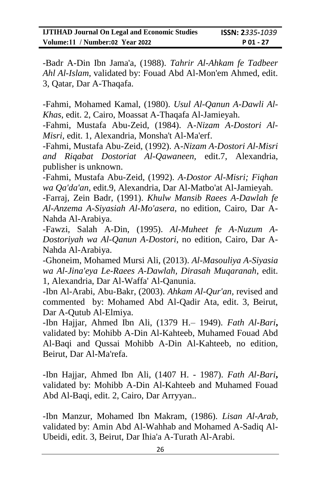-Badr A-Din Ibn Jama'a, (1988). *Tahrir Al-Ahkam fe Tadbeer Ahl Al-Islam*, validated by: Fouad Abd Al-Mon'em Ahmed, edit. 3, Qatar, Dar A-Thaqafa.

-Fahmi, Mohamed Kamal, (1980). *Usul Al-Qanun A-Dawli Al-Khas*, edit. 2, Cairo, Moassat A-Thaqafa Al-Jamieyah.

-Fahmi, Mustafa Abu-Zeid, (1984). A*-Nizam A-Dostori Al-Misri,* edit. 1, Alexandria, Monsha't Al-Ma'erf.

-Fahmi, Mustafa Abu-Zeid, (1992). A*-Nizam A-Dostori Al-Misri and Riqabat Dostoriat Al-Qawaneen,* edit.7, Alexandria, publisher is unknown.

-Fahmi, Mustafa Abu-Zeid, (1992). *A-Dostor Al-Misri; Fiqhan wa Qa'da'an,* edit.9, Alexandria, Dar Al-Matbo'at Al-Jamieyah.

-Farraj, Zein Badr, (1991). *Khulw Mansib Raees A-Dawlah fe Al-Anzema A-Siyasiah Al-Mo'asera*, no edition, Cairo, Dar A-Nahda Al-Arabiya.

-Fawzi, Salah A-Din, (1995). *Al-Muheet fe A-Nuzum A-Dostoriyah wa Al-Qanun A-Dostori*, no edition, Cairo, Dar A-Nahda Al-Arabiya.

-Ghoneim, Mohamed Mursi Ali, (2013). *Al-Masouliya A-Siyasia wa Al-Jina'eya Le-Raees A-Dawlah, Dirasah Muqaranah*, edit. 1, Alexandria, Dar Al-Waffa' Al-Qanunia.

-Ibn Al-Arabi, Abu-Bakr, (2003). *Ahkam Al-Qur'an,* revised and commented by: Mohamed Abd Al-Qadir Ata, edit. 3, Beirut, Dar A-Qutub Al-Elmiya.

-Ibn Hajjar, Ahmed Ibn Ali, (1379 H.– 1949). *Fath Al-Bari***,**  validated by: Mohibb A-Din Al-Kahteeb, Muhamed Fouad Abd Al-Baqi and Qussai Mohibb A-Din Al-Kahteeb, no edition, Beirut, Dar Al-Ma'refa.

-Ibn Hajjar, Ahmed Ibn Ali, (1407 H. - 1987). *Fath Al-Bari***,**  validated by: Mohibb A-Din Al-Kahteeb and Muhamed Fouad Abd Al-Baqi, edit. 2, Cairo, Dar Arryyan..

-Ibn Manzur, Mohamed Ibn Makram, (1986). *Lisan Al-Arab,* validated by: Amin Abd Al-Wahhab and Mohamed A-Sadiq Al-Ubeidi, edit. 3, Beirut, Dar Ihia'a A-Turath Al-Arabi.